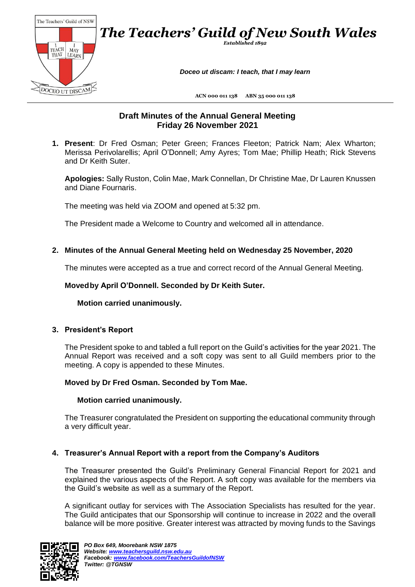

# **Draft Minutes of the Annual General Meeting Friday 26 November 2021**

**1. Present**: Dr Fred Osman; Peter Green; Frances Fleeton; Patrick Nam; Alex Wharton; Merissa Perivolarellis; April O'Donnell; Amy Ayres; Tom Mae; Phillip Heath; Rick Stevens and Dr Keith Suter.

**Apologies:** Sally Ruston, Colin Mae, Mark Connellan, Dr Christine Mae, Dr Lauren Knussen and Diane Fournaris.

The meeting was held via ZOOM and opened at 5:32 pm.

The President made a Welcome to Country and welcomed all in attendance.

## **2. Minutes of the Annual General Meeting held on Wednesday 25 November, 2020**

The minutes were accepted as a true and correct record of the Annual General Meeting.

## **Movedby April O'Donnell. Seconded by Dr Keith Suter.**

**Motion carried unanimously.**

### **3. President's Report**

The President spoke to and tabled a full report on the Guild's activities for the year 2021. The Annual Report was received and a soft copy was sent to all Guild members prior to the meeting. A copy is appended to these Minutes.

### **Moved by Dr Fred Osman. Seconded by Tom Mae.**

### **Motion carried unanimously.**

The Treasurer congratulated the President on supporting the educational community through a very difficult year.

### **4. Treasurer's Annual Report with a report from the Company's Auditors**

The Treasurer presented the Guild's Preliminary General Financial Report for 2021 and explained the various aspects of the Report. A soft copy was available for the members via the Guild's website as well as a summary of the Report.

A significant outlay for services with The Association Specialists has resulted for the year. The Guild anticipates that our Sponsorship will continue to increase in 2022 and the overall balance will be more positive. Greater interest was attracted by moving funds to the Savings

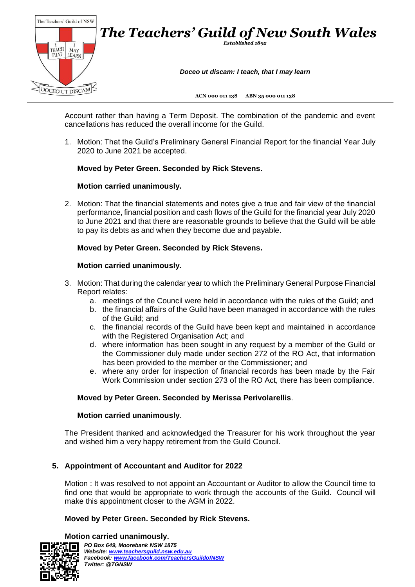

Account rather than having a Term Deposit. The combination of the pandemic and event cancellations has reduced the overall income for the Guild.

1. Motion: That the Guild's Preliminary General Financial Report for the financial Year July 2020 to June 2021 be accepted.

# **Moved by Peter Green. Seconded by Rick Stevens.**

# **Motion carried unanimously.**

2. Motion: That the financial statements and notes give a true and fair view of the financial performance, financial position and cash flows of the Guild for the financial year July 2020 to June 2021 and that there are reasonable grounds to believe that the Guild will be able to pay its debts as and when they become due and payable.

## **Moved by Peter Green. Seconded by Rick Stevens.**

## **Motion carried unanimously.**

- 3. Motion: That during the calendar year to which the Preliminary General Purpose Financial Report relates:
	- a. meetings of the Council were held in accordance with the rules of the Guild; and
	- b. the financial affairs of the Guild have been managed in accordance with the rules of the Guild; and
	- c. the financial records of the Guild have been kept and maintained in accordance with the Registered Organisation Act; and
	- d. where information has been sought in any request by a member of the Guild or the Commissioner duly made under section 272 of the RO Act, that information has been provided to the member or the Commissioner; and
	- e. where any order for inspection of financial records has been made by the Fair Work Commission under section 273 of the RO Act, there has been compliance.

# **Moved by Peter Green. Seconded by Merissa Perivolarellis**.

### **Motion carried unanimously**.

The President thanked and acknowledged the Treasurer for his work throughout the year and wished him a very happy retirement from the Guild Council.

# **5. Appointment of Accountant and Auditor for 2022**

Motion : It was resolved to not appoint an Accountant or Auditor to allow the Council time to find one that would be appropriate to work through the accounts of the Guild. Council will make this appointment closer to the AGM in 2022.

# **Moved by Peter Green. Seconded by Rick Stevens.**

**Motion carried unanimously.**

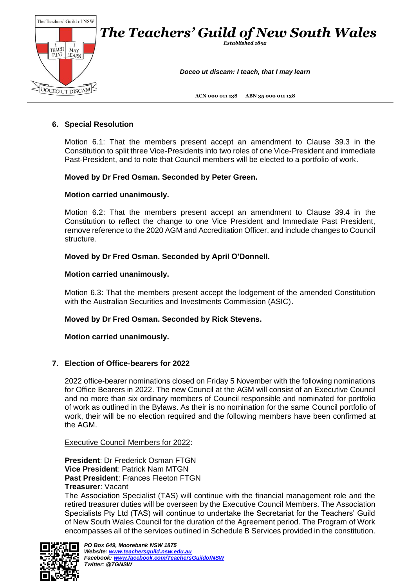

## **6. Special Resolution**

Motion 6.1: That the members present accept an amendment to Clause 39.3 in the Constitution to split three Vice-Presidents into two roles of one Vice-President and immediate Past-President, and to note that Council members will be elected to a portfolio of work.

### **Moved by Dr Fred Osman. Seconded by Peter Green.**

#### **Motion carried unanimously.**

Motion 6.2: That the members present accept an amendment to Clause 39.4 in the Constitution to reflect the change to one Vice President and Immediate Past President, remove reference to the 2020 AGM and Accreditation Officer, and include changes to Council structure.

#### **Moved by Dr Fred Osman. Seconded by April O'Donnell.**

#### **Motion carried unanimously.**

Motion 6.3: That the members present accept the lodgement of the amended Constitution with the Australian Securities and Investments Commission (ASIC).

#### **Moved by Dr Fred Osman. Seconded by Rick Stevens.**

#### **Motion carried unanimously.**

### **7. Election of Office-bearers for 2022**

2022 office-bearer nominations closed on Friday 5 November with the following nominations for Office Bearers in 2022. The new Council at the AGM will consist of an Executive Council and no more than six ordinary members of Council responsible and nominated for portfolio of work as outlined in the Bylaws. As their is no nomination for the same Council portfolio of work, their will be no election required and the following members have been confirmed at the AGM.

Executive Council Members for 2022:

**President**: Dr Frederick Osman FTGN **Vice President**: Patrick Nam MTGN **Past President**: Frances Fleeton FTGN **Treasurer**: Vacant

The Association Specialist (TAS) will continue with the financial management role and the retired treasurer duties will be overseen by the Executive Council Members. The Association Specialists Pty Ltd (TAS) will continue to undertake the Secretariat for the Teachers' Guild of New South Wales Council for the duration of the Agreement period. The Program of Work encompasses all of the services outlined in Schedule B Services provided in the constitution.

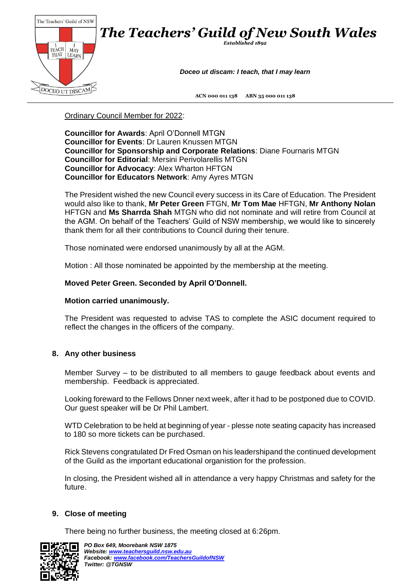

Ordinary Council Member for 2022:

**Councillor for Awards**: April O'Donnell MTGN **Councillor for Events**: Dr Lauren Knussen MTGN **Councillor for Sponsorship and Corporate Relations**: Diane Fournaris MTGN **Councillor for Editorial**: Mersini Perivolarellis MTGN **Councillor for Advocacy**: Alex Wharton HFTGN **Councillor for Educators Network**: Amy Ayres MTGN

The President wished the new Council every success in its Care of Education. The President would also like to thank, **Mr Peter Green** FTGN, **Mr Tom Mae** HFTGN, **Mr Anthony Nolan** HFTGN and **Ms Sharrda Shah** MTGN who did not nominate and will retire from Council at the AGM. On behalf of the Teachers' Guild of NSW membership, we would like to sincerely thank them for all their contributions to Council during their tenure.

Those nominated were endorsed unanimously by all at the AGM.

Motion : All those nominated be appointed by the membership at the meeting.

# **Moved Peter Green. Seconded by April O'Donnell.**

### **Motion carried unanimously.**

The President was requested to advise TAS to complete the ASIC document required to reflect the changes in the officers of the company.

# **8. Any other business**

Member Survey – to be distributed to all members to gauge feedback about events and membership. Feedback is appreciated.

Looking foreward to the Fellows Dnner next week, after it had to be postponed due to COVID. Our guest speaker will be Dr Phil Lambert.

WTD Celebration to be held at beginning of year - plesse note seating capacity has increased to 180 so more tickets can be purchased.

Rick Stevens congratulated Dr Fred Osman on his leadershipand the continued development of the Guild as the important educational organistion for the profession.

In closing, the President wished all in attendance a very happy Christmas and safety for the future.

# **9. Close of meeting**

There being no further business, the meeting closed at 6:26pm.